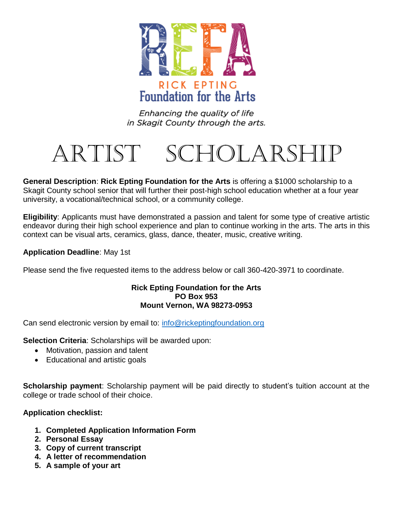

Enhancing the quality of life in Skagit County through the arts.

# Artist Scholarship

 Skagit County school senior that will further their post-high school education whether at a four year university, a vocational/technical school, or a community college. **General Description**: **Rick Epting Foundation for the Arts** is offering a \$1000 scholarship to a

 **Eligibility**: Applicants must have demonstrated a passion and talent for some type of creative artistic endeavor during their high school experience and plan to continue working in the arts. The arts in this context can be visual arts, ceramics, glass, dance, theater, music, creative writing.

#### **Application Deadline**: May 1st

Please send the five requested items to the address below or call 360-420-3971 to coordinate.

#### **Rick Epting Foundation for the Arts PO Box 953 Mount Vernon, WA 98273-0953**

Can send electronic version by email to: info@rickeptingfoundation.org

**Selection Criteria**: Scholarships will be awarded upon:

- Motivation, passion and talent
- Educational and artistic goals

 **Scholarship payment**: Scholarship payment will be paid directly to student's tuition account at the college or trade school of their choice.

### **Application checklist:**

- **1. Completed Application Information Form**
- **2. Personal Essay**
- **3. Copy of current transcript**
- **4. A letter of recommendation**
- **5. A sample of your art**